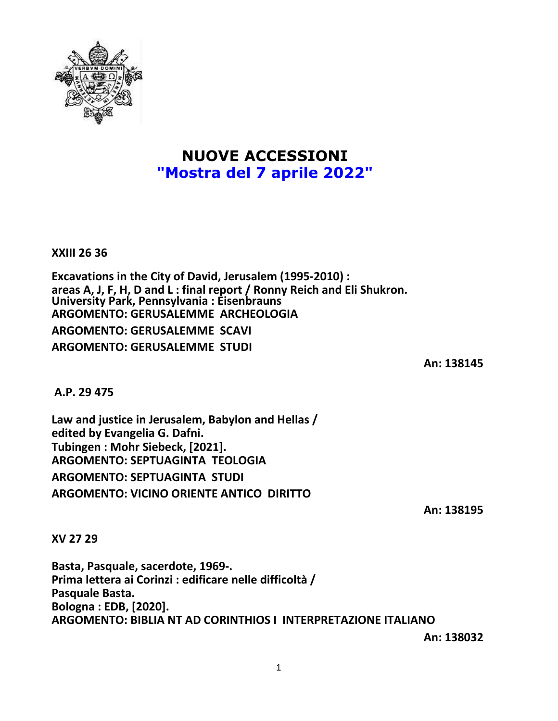

## **NUOVE ACCESSIONI "Mostra del 7 aprile 2022"**

**XXIII 26 36**

**Excavations in the City of David, Jerusalem (1995-2010) : areas A, J, F, H, D and L : final report / Ronny Reich and Eli Shukron. University Park, Pennsylvania : Eisenbrauns ARGOMENTO: GERUSALEMME ARCHEOLOGIA ARGOMENTO: GERUSALEMME SCAVI ARGOMENTO: GERUSALEMME STUDI**

**An: 138145**

**A.P. 29 475**

**Law and justice in Jerusalem, Babylon and Hellas / edited by Evangelia G. Dafni. Tubingen : Mohr Siebeck, [2021]. ARGOMENTO: SEPTUAGINTA TEOLOGIA ARGOMENTO: SEPTUAGINTA STUDI ARGOMENTO: VICINO ORIENTE ANTICO DIRITTO**

**An: 138195**

**XV 27 29**

**Basta, Pasquale, sacerdote, 1969-. Prima lettera ai Corinzi : edificare nelle difficoltà / Pasquale Basta. Bologna : EDB, [2020]. ARGOMENTO: BIBLIA NT AD CORINTHIOS I INTERPRETAZIONE ITALIANO**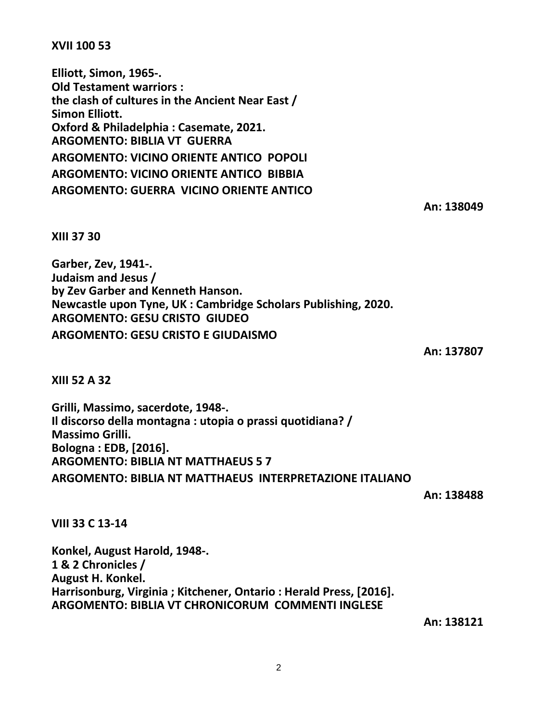2

**XVII 100 53**

**Elliott, Simon, 1965-. Old Testament warriors : the clash of cultures in the Ancient Near East / Simon Elliott. Oxford & Philadelphia : Casemate, 2021. ARGOMENTO: BIBLIA VT GUERRA ARGOMENTO: VICINO ORIENTE ANTICO POPOLI ARGOMENTO: VICINO ORIENTE ANTICO BIBBIA ARGOMENTO: GUERRA VICINO ORIENTE ANTICO**

**An: 138049**

**XIII 37 30**

**Garber, Zev, 1941-. Judaism and Jesus / by Zev Garber and Kenneth Hanson. Newcastle upon Tyne, UK : Cambridge Scholars Publishing, 2020. ARGOMENTO: GESU CRISTO GIUDEO ARGOMENTO: GESU CRISTO E GIUDAISMO**

**An: 137807**

**XIII 52 A 32**

**Grilli, Massimo, sacerdote, 1948-. Il discorso della montagna : utopia o prassi quotidiana? / Massimo Grilli. Bologna : EDB, [2016]. ARGOMENTO: BIBLIA NT MATTHAEUS 5 7 ARGOMENTO: BIBLIA NT MATTHAEUS INTERPRETAZIONE ITALIANO**

**An: 138488**

**VIII 33 C 13-14**

**Konkel, August Harold, 1948-. 1 & 2 Chronicles / August H. Konkel. Harrisonburg, Virginia ; Kitchener, Ontario : Herald Press, [2016]. ARGOMENTO: BIBLIA VT CHRONICORUM COMMENTI INGLESE**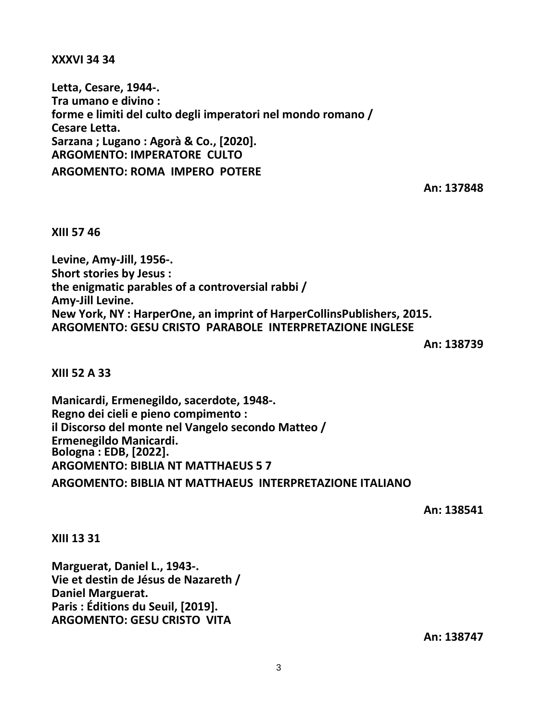**XXXVI 34 34**

**Letta, Cesare, 1944-. Tra umano e divino : forme e limiti del culto degli imperatori nel mondo romano / Cesare Letta. Sarzana ; Lugano : Agorà & Co., [2020]. ARGOMENTO: IMPERATORE CULTO ARGOMENTO: ROMA IMPERO POTERE**

**An: 137848**

**XIII 57 46**

**Levine, Amy-Jill, 1956-. Short stories by Jesus : the enigmatic parables of a controversial rabbi / Amy-Jill Levine. New York, NY : HarperOne, an imprint of HarperCollinsPublishers, 2015. ARGOMENTO: GESU CRISTO PARABOLE INTERPRETAZIONE INGLESE**

**An: 138739**

**XIII 52 A 33**

**Manicardi, Ermenegildo, sacerdote, 1948-. Regno dei cieli e pieno compimento : il Discorso del monte nel Vangelo secondo Matteo / Ermenegildo Manicardi. Bologna : EDB, [2022]. ARGOMENTO: BIBLIA NT MATTHAEUS 5 7 ARGOMENTO: BIBLIA NT MATTHAEUS INTERPRETAZIONE ITALIANO**

**An: 138541**

**XIII 13 31**

**Marguerat, Daniel L., 1943-. Vie et destin de Jésus de Nazareth / Daniel Marguerat. Paris : Éditions du Seuil, [2019]. ARGOMENTO: GESU CRISTO VITA**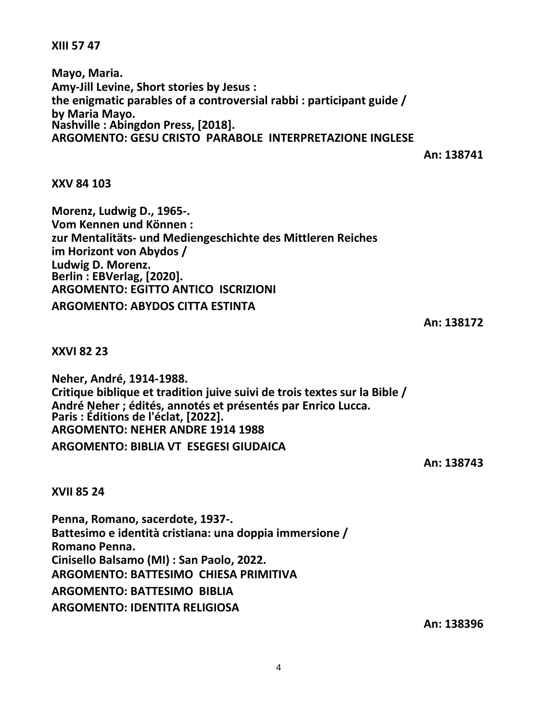**XIII 57 47**

**Mayo, Maria. Amy-Jill Levine, Short stories by Jesus : the enigmatic parables of a controversial rabbi : participant guide / by Maria Mayo. Nashville : Abingdon Press, [2018]. ARGOMENTO: GESU CRISTO PARABOLE INTERPRETAZIONE INGLESE**

**An: 138741**

**XXV 84 103**

**Morenz, Ludwig D., 1965-. Vom Kennen und Können : zur Mentalitäts- und Mediengeschichte des Mittleren Reiches im Horizont von Abydos / Ludwig D. Morenz. Berlin : EBVerlag, [2020]. ARGOMENTO: EGITTO ANTICO ISCRIZIONI ARGOMENTO: ABYDOS CITTA ESTINTA**

**An: 138172**

**XXVI 82 23**

**Neher, André, 1914-1988. Critique biblique et tradition juive suivi de trois textes sur la Bible / André Neher ; édités, annotés et présentés par Enrico Lucca. Paris : Éditions de l'éclat, [2022]. ARGOMENTO: NEHER ANDRE 1914 1988 ARGOMENTO: BIBLIA VT ESEGESI GIUDAICA**

**An: 138743**

**XVII 85 24**

**Penna, Romano, sacerdote, 1937-. Battesimo e identità cristiana: una doppia immersione / Romano Penna. Cinisello Balsamo (MI) : San Paolo, 2022. ARGOMENTO: BATTESIMO CHIESA PRIMITIVA ARGOMENTO: BATTESIMO BIBLIA ARGOMENTO: IDENTITA RELIGIOSA**